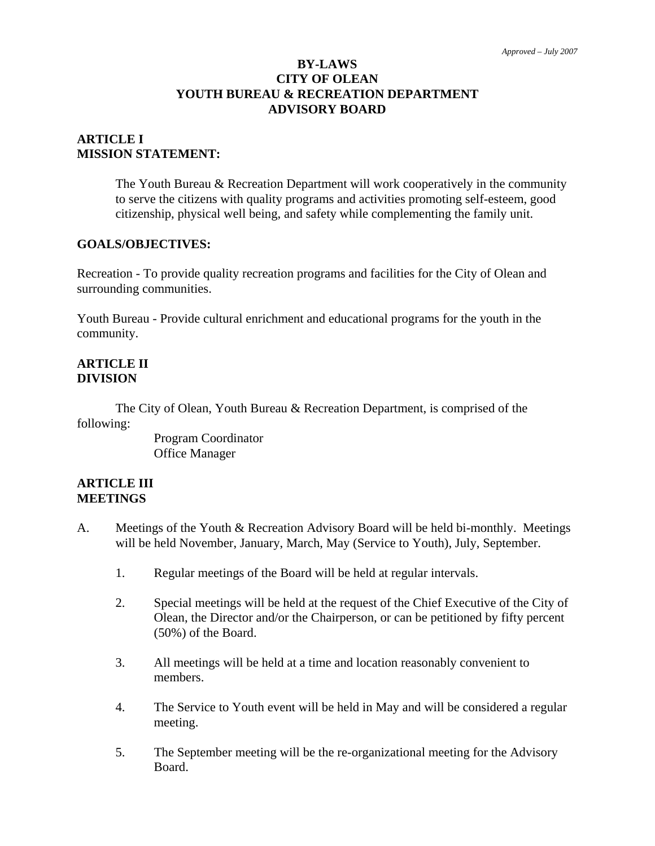### **BY-LAWS CITY OF OLEAN YOUTH BUREAU & RECREATION DEPARTMENT ADVISORY BOARD**

### **ARTICLE I MISSION STATEMENT:**

The Youth Bureau & Recreation Department will work cooperatively in the community to serve the citizens with quality programs and activities promoting self-esteem, good citizenship, physical well being, and safety while complementing the family unit.

#### **GOALS/OBJECTIVES:**

Recreation - To provide quality recreation programs and facilities for the City of Olean and surrounding communities.

Youth Bureau - Provide cultural enrichment and educational programs for the youth in the community.

#### **ARTICLE II DIVISION**

The City of Olean, Youth Bureau & Recreation Department, is comprised of the following:

> Program Coordinator Office Manager

#### **ARTICLE III MEETINGS**

- A. Meetings of the Youth & Recreation Advisory Board will be held bi-monthly. Meetings will be held November, January, March, May (Service to Youth), July, September.
	- 1. Regular meetings of the Board will be held at regular intervals.
	- 2. Special meetings will be held at the request of the Chief Executive of the City of Olean, the Director and/or the Chairperson, or can be petitioned by fifty percent (50%) of the Board.
	- 3. All meetings will be held at a time and location reasonably convenient to members.
	- 4. The Service to Youth event will be held in May and will be considered a regular meeting.
	- 5. The September meeting will be the re-organizational meeting for the Advisory Board.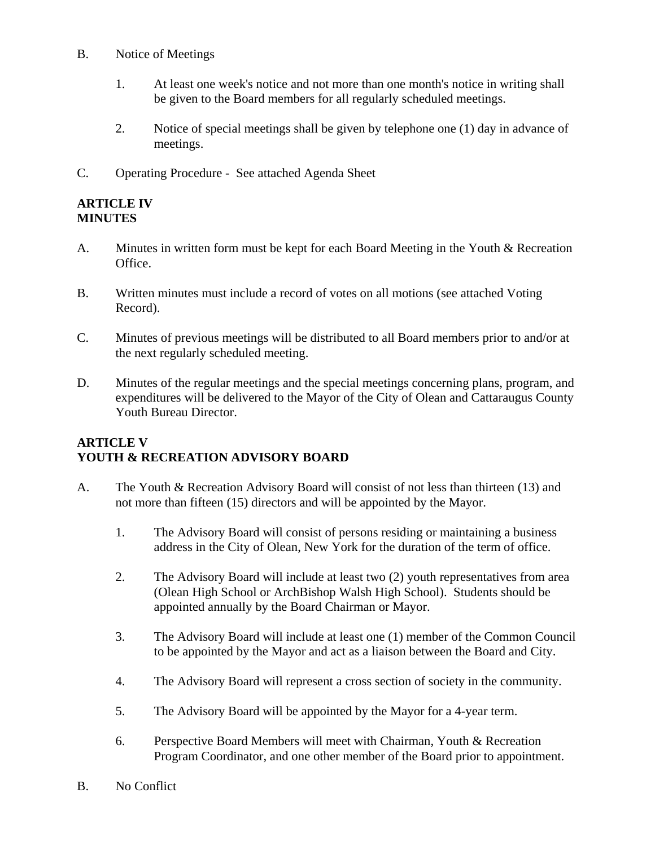- B. Notice of Meetings
	- 1. At least one week's notice and not more than one month's notice in writing shall be given to the Board members for all regularly scheduled meetings.
	- 2. Notice of special meetings shall be given by telephone one (1) day in advance of meetings.
- C. Operating Procedure See attached Agenda Sheet

#### **ARTICLE IV MINUTES**

- A. Minutes in written form must be kept for each Board Meeting in the Youth & Recreation Office.
- B. Written minutes must include a record of votes on all motions (see attached Voting Record).
- C. Minutes of previous meetings will be distributed to all Board members prior to and/or at the next regularly scheduled meeting.
- D. Minutes of the regular meetings and the special meetings concerning plans, program, and expenditures will be delivered to the Mayor of the City of Olean and Cattaraugus County Youth Bureau Director.

## **ARTICLE V YOUTH & RECREATION ADVISORY BOARD**

- A. The Youth & Recreation Advisory Board will consist of not less than thirteen (13) and not more than fifteen (15) directors and will be appointed by the Mayor.
	- 1. The Advisory Board will consist of persons residing or maintaining a business address in the City of Olean, New York for the duration of the term of office.
	- 2. The Advisory Board will include at least two (2) youth representatives from area (Olean High School or ArchBishop Walsh High School). Students should be appointed annually by the Board Chairman or Mayor.
	- 3. The Advisory Board will include at least one (1) member of the Common Council to be appointed by the Mayor and act as a liaison between the Board and City.
	- 4. The Advisory Board will represent a cross section of society in the community.
	- 5. The Advisory Board will be appointed by the Mayor for a 4-year term.
	- 6. Perspective Board Members will meet with Chairman, Youth & Recreation Program Coordinator, and one other member of the Board prior to appointment.
- B. No Conflict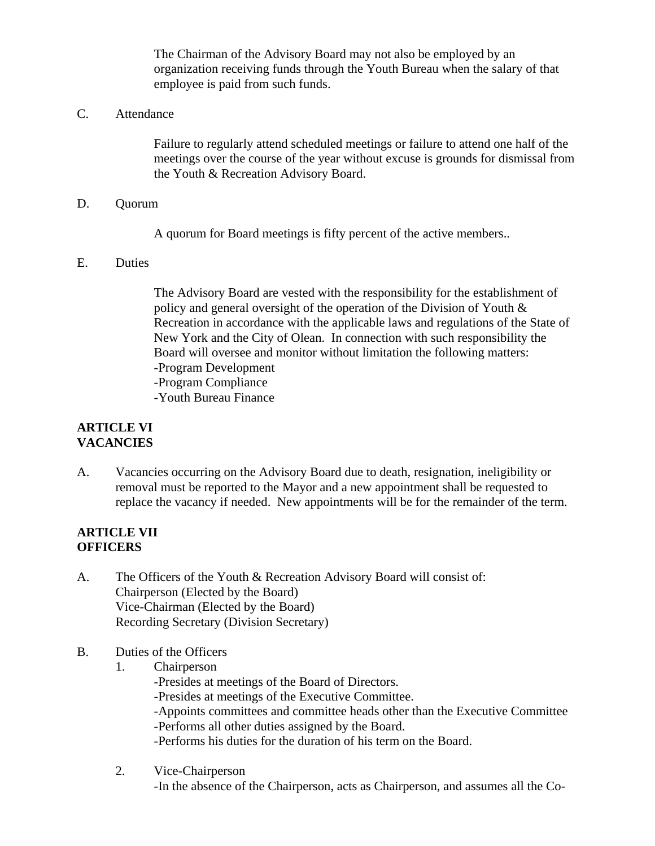The Chairman of the Advisory Board may not also be employed by an organization receiving funds through the Youth Bureau when the salary of that employee is paid from such funds.

C. Attendance

Failure to regularly attend scheduled meetings or failure to attend one half of the meetings over the course of the year without excuse is grounds for dismissal from the Youth & Recreation Advisory Board.

D. Quorum

A quorum for Board meetings is fifty percent of the active members..

E. Duties

The Advisory Board are vested with the responsibility for the establishment of policy and general oversight of the operation of the Division of Youth & Recreation in accordance with the applicable laws and regulations of the State of New York and the City of Olean. In connection with such responsibility the Board will oversee and monitor without limitation the following matters: -Program Development

- -Program Compliance
- -Youth Bureau Finance

### **ARTICLE VI VACANCIES**

A. Vacancies occurring on the Advisory Board due to death, resignation, ineligibility or removal must be reported to the Mayor and a new appointment shall be requested to replace the vacancy if needed. New appointments will be for the remainder of the term.

#### **ARTICLE VII OFFICERS**

- A. The Officers of the Youth & Recreation Advisory Board will consist of: Chairperson (Elected by the Board) Vice-Chairman (Elected by the Board) Recording Secretary (Division Secretary)
- B. Duties of the Officers
	- 1. Chairperson
		- -Presides at meetings of the Board of Directors.
		- -Presides at meetings of the Executive Committee.
		- -Appoints committees and committee heads other than the Executive Committee -Performs all other duties assigned by the Board.
		- -Performs his duties for the duration of his term on the Board.
	- 2. Vice-Chairperson -In the absence of the Chairperson, acts as Chairperson, and assumes all the Co-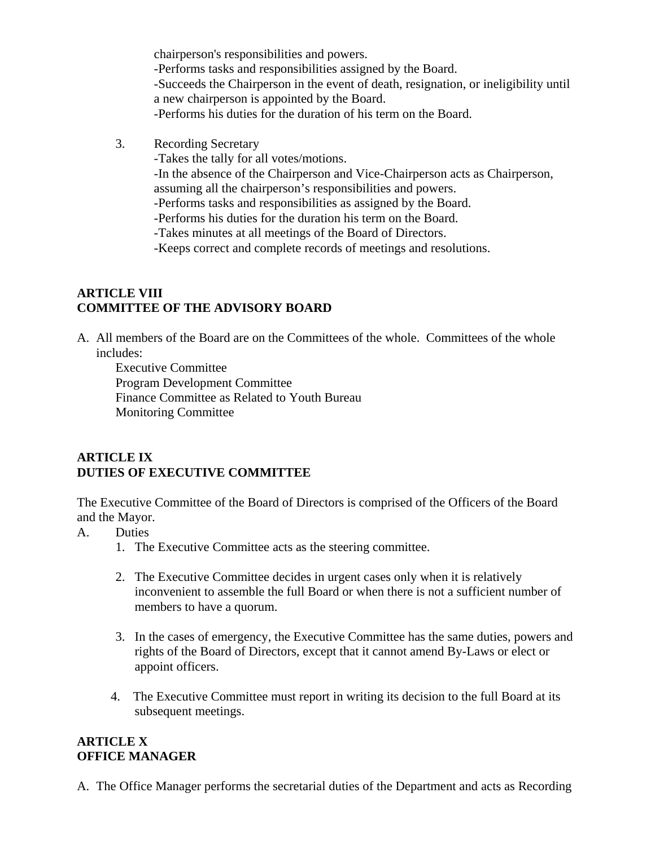chairperson's responsibilities and powers. -Performs tasks and responsibilities assigned by the Board. -Succeeds the Chairperson in the event of death, resignation, or ineligibility until a new chairperson is appointed by the Board. -Performs his duties for the duration of his term on the Board.

- 3. Recording Secretary
	- -Takes the tally for all votes/motions.

-In the absence of the Chairperson and Vice-Chairperson acts as Chairperson, assuming all the chairperson's responsibilities and powers.

-Performs tasks and responsibilities as assigned by the Board.

-Performs his duties for the duration his term on the Board.

-Takes minutes at all meetings of the Board of Directors.

-Keeps correct and complete records of meetings and resolutions.

## **ARTICLE VIII COMMITTEE OF THE ADVISORY BOARD**

A. All members of the Board are on the Committees of the whole. Committees of the whole includes:

Executive Committee Program Development Committee Finance Committee as Related to Youth Bureau Monitoring Committee

## **ARTICLE IX DUTIES OF EXECUTIVE COMMITTEE**

The Executive Committee of the Board of Directors is comprised of the Officers of the Board and the Mayor.

- A. Duties
	- 1. The Executive Committee acts as the steering committee.
	- 2. The Executive Committee decides in urgent cases only when it is relatively inconvenient to assemble the full Board or when there is not a sufficient number of members to have a quorum.
	- 3. In the cases of emergency, the Executive Committee has the same duties, powers and rights of the Board of Directors, except that it cannot amend By-Laws or elect or appoint officers.
	- 4. The Executive Committee must report in writing its decision to the full Board at its subsequent meetings.

### **ARTICLE X OFFICE MANAGER**

A. The Office Manager performs the secretarial duties of the Department and acts as Recording